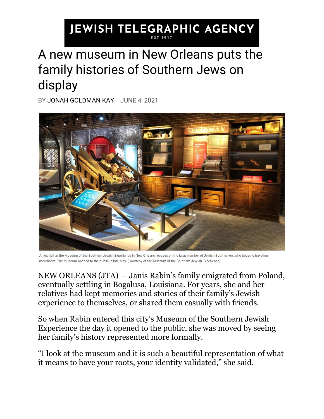## **JEWISH TELEGRAPHIC AGENCY**

## A new museum in New Orleans puts the family histories of Southern Jews on display

BY [JONAH GOLDMAN KAY](https://www.jta.org/author/jonah-goldman-kay) JUNE 4, 2021



An exhibit at the Museum of the Southern Jewish Experience in New Orleans focuses on the large number of Jewish Southerners who became traveling merchants. The museum opened to the public in late May. (Courtesy of the Museum of the Southern Jewish Experience)

NEW ORLEANS [\(JTA\)](http://jta.org/) — Janis Rabin's family emigrated from Poland, eventually settling in Bogalusa, Louisiana. For years, she and her relatives had kept memories and stories of their family's Jewish experience to themselves, or shared them casually with friends.

So when Rabin entered this city's Museum of the Southern Jewish Experience the day it opened to the public, she was moved by seeing her family's history represented more formally.

"I look at the museum and it is such a beautiful representation of what it means to have your roots, your identity validated," she said.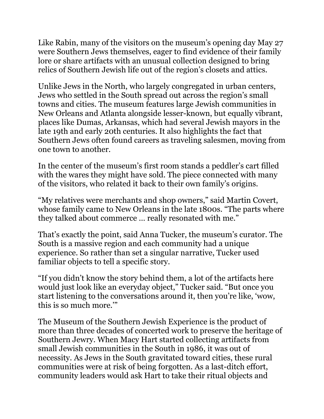Like Rabin, many of the visitors on the museum's opening day May 27 were Southern Jews themselves, eager to find evidence of their family lore or share artifacts with an unusual collection designed to bring relics of Southern Jewish life out of the region's closets and attics.

Unlike Jews in the North, who largely congregated in urban centers, Jews who settled in the South spread out across the region's small towns and cities. The museum features large Jewish communities in New Orleans and Atlanta alongside lesser-known, but equally vibrant, places like Dumas, Arkansas, which had several Jewish mayors in the late 19th and early 20th centuries. It also highlights the fact that Southern Jews often found careers as traveling salesmen, moving from one town to another.

In the center of the museum's first room stands a peddler's cart filled with the wares they might have sold. The piece connected with many of the visitors, who related it back to their own family's origins.

"My relatives were merchants and shop owners," said Martin Covert, whose family came to New Orleans in the late 1800s. "The parts where they talked about commerce … really resonated with me."

That's exactly the point, said Anna Tucker, the museum's curator. The South is a massive region and each community had a unique experience. So rather than set a singular narrative, Tucker used familiar objects to tell a specific story.

"If you didn't know the story behind them, a lot of the artifacts here would just look like an everyday object," Tucker said. "But once you start listening to the conversations around it, then you're like, 'wow, this is so much more.'"

The Museum of the Southern Jewish Experience is the product of more than three decades of concerted work to preserve the heritage of Southern Jewry. When Macy Hart started collecting artifacts from small Jewish communities in the South in 1986, it was out of necessity. As Jews in the South gravitated toward cities, these rural communities were at risk of being forgotten. As a last-ditch effort, community leaders would ask Hart to take their ritual objects and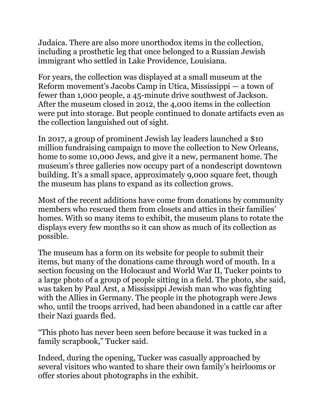Judaica. There are also more unorthodox items in the collection, including a prosthetic leg that once belonged to a Russian Jewish immigrant who settled in Lake Providence, Louisiana.

For years, the collection was displayed at a small museum at the Reform movement's Jacobs Camp in Utica, Mississippi — a town of fewer than 1,000 people, a 45-minute drive southwest of Jackson. After the museum closed in 2012, the 4,000 items in the collection were put into storage. But people continued to donate artifacts even as the collection languished out of sight.

In 2017, a group of prominent Jewish lay leaders launched a \$10 million fundraising campaign to [move the collection](https://www.jta.org/2019/07/09/culture/a-museum-on-southern-jews-moves-its-eclectic-4000-item-collection-across-state-lines) to New Orleans, home to some 10,000 Jews, and give it a new, permanent home. The museum's three galleries now occupy part of a nondescript downtown building. It's a small space, approximately 9,000 square feet, though the museum has plans to expand as its collection grows.

Most of the recent additions have come from donations by community members who rescued them from closets and attics in their families' homes. With so many items to exhibit, the museum plans to rotate the displays every few months so it can show as much of its collection as possible.

The museum has a form on its website for people to submit their items, but many of the donations came through word of mouth. In a section focusing on the Holocaust and World War II, Tucker points to a large photo of a group of people sitting in a field. The photo, she said, was taken by Paul Arst, a Mississippi Jewish man who was fighting with the Allies in Germany. The people in the photograph were Jews who, until the troops arrived, had been abandoned in a cattle car after their Nazi guards fled.

"This photo has never been seen before because it was tucked in a family scrapbook," Tucker said.

Indeed, during the opening, Tucker was casually approached by several visitors who wanted to share their own family's heirlooms or offer stories about photographs in the exhibit.